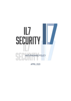# lL7 **SECURITY**

ANTI-PHISHING POLICY

APRIL 2020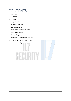# **CONTENTS**

| $\mathbf{1}$   | Overview                                | 3              |
|----------------|-----------------------------------------|----------------|
| 1.1            | Purpose                                 | 3              |
| 1.2            | Scope                                   | 3              |
| 1.3            | Applicability                           | 3              |
| $\overline{2}$ | Anti-Phishing Policy<br>$\overline{4}$  |                |
| 3              | <b>Boundary Security</b>                | $\overline{7}$ |
| 4              | Procedural and Personnel Controls       | 9              |
| 5              | <b>Training Requirements</b>            | 10             |
| 6              | Incident Response                       | 11             |
| 7              | Exemptions, Exceptions and Breaches     | 12             |
| 7.1            | <b>Exemptions and Exceptions Policy</b> | 12             |
| 7.2            | <b>Breach of Policy</b>                 | 12             |
|                |                                         |                |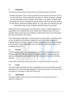#### <span id="page-2-0"></span>**1 Overview**

The National Cyber Security Centre (NCSC) describe Phishing as (Ref [1]):

*"Phishing describes a type of social engineering where attackers influence users to do 'the wrong thing', such as disclosing information or clicking a bad link. Phishing can be conducted via a text message, social media, or by phone, but these days most people use the term 'phishing' to describe attacks that arrive by email. Email is an ideal delivery method for phishing attacks as it can reach users directly and hide amongst the huge number of benign emails that busy users receive"* 

Phishing attempts can be generic and delivered en masse or highly targeted to an organisation or an individual and in the modern day, Phishing is one of the most prevalent attack vectors due to its simplicity, speed and the value of the information that can be extracted in this manner.

Since Phishing generally plays on human nature to be successful, it ultimately relies on user recognition and training to mitigate the risks. This makes mitigation of Phishing attacks non-trivial to mitigate in large organisations and therefore Phishing success rates are high, making this an area of significant importance within IL7 to investigate and control.

#### <span id="page-2-1"></span>**1.1 Purpose**

This document provides interim guidance to IL7 on how to mitigate the risks from Phishing attacks that can be used when developing systems, implementing antiphishing controls and advising staff on how to recognise and respond to phishing attempts.

Future Policy will provide requirements that IL7 systems and users must meet.

#### <span id="page-2-2"></span>**1.2 Scope**

This interim policy primarily focusses on mitigating the risks from Phishing via email although some is more generally applicable. Future policy will also cover other forms of phishing, for example via SMS and Phone calls.

#### <span id="page-2-3"></span>**1.3 Applicability**

This policy applies to all IL7 staff, service providers and contractors who use systems to support IL7.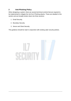# <span id="page-3-0"></span>**2 Anti-Phishing Policy**

When designing a system, there are several technical controls that are required to be implemented to mitigate the risk from Phishing attacks. These are detailed in this section and are broadly broken down into three sections:

- 1. Email Security;
- 2. Boundary Security;
- 3. Server and Client Security.

This guidance should be read in conjunction with existing cyber security policies.

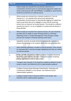<span id="page-4-0"></span>

| <b>Policy ID</b> | <b>Policy Requirement</b>                                                                                                                                                                                                                                                                                                                                                                                                                                  |
|------------------|------------------------------------------------------------------------------------------------------------------------------------------------------------------------------------------------------------------------------------------------------------------------------------------------------------------------------------------------------------------------------------------------------------------------------------------------------------|
| $\mathbf{1}$     | Where emails are received from any domain external to IL7,<br>consideration should be given to automatically tagging the subject line<br>and/or email body text with "[EXTERNAL]" to highlight to users that the<br>email has arrived from an external source.                                                                                                                                                                                             |
| $\overline{2}$   | Where emails are received from a domain trusted by IL7 but not<br>internal to IL7, for example other government departments,<br>consideration should be given to automatically tagging the subject line<br>and/or email body with text to highlight to users that the email has<br>arrived from an external, but trusted domain. This should be a different<br>warning from that of 1 so as to highlight if a trusted external domain is<br>being spoofed. |
| 3                | Where emails are received from external sources, the user should be<br>provided with the ability to report Phishing emails to a Phishing<br>Reporting Centre or Incident Management Team through a simple<br>process (for example a Phishing reporting email inbox).                                                                                                                                                                                       |
| 4                | Hyperlinks received via email should be automatically expanded to<br>present the whole link to the recipient rather than user generated text.                                                                                                                                                                                                                                                                                                              |
| 5                | When following hyperlinks in emails to external domains, users should<br>be presented with a warning message highlighting that they are visiting<br>an external website.                                                                                                                                                                                                                                                                                   |
| 6                | Where possible, documents containing macros should be blocked by<br>the email system with the exception of those documents containing<br>macros signed by IL7 macro signing team.                                                                                                                                                                                                                                                                          |
| 7                | Transport Layer Security (TLS) should be enabled by default to protect<br>emails in transit. See Reference [2] for implementation guidance.                                                                                                                                                                                                                                                                                                                |
| 8                | Configure Domain-based Message Authentication, Reporting and<br>Conformance (DMARC) on the domain. See Reference [2] for<br>implementation guidance.                                                                                                                                                                                                                                                                                                       |
| 9                | Configure Sender Policy Framework (SPF) on the domain. See<br>Reference [2] for implementation guidance.                                                                                                                                                                                                                                                                                                                                                   |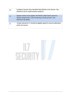| 10 | Configure Domain-Keys Identified Mail (DKIM) on the domain. See<br>Reference [2] for implementation guidance.                                           |
|----|---------------------------------------------------------------------------------------------------------------------------------------------------------|
| 11 | System owners must register with NCSC's Mail Check service to<br>identify weaknesses in and monitoring of email services. See<br>Reference [3] details. |
| 12 | Emails internal to IL7 should be digitally signed to ensure authenticity<br>within the domain.                                                          |

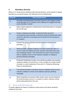# <span id="page-6-0"></span>**3 Boundary Security**

Where a IL7 email service interfaces with external domains, at the network or logical boundary to an external system, the following must be implemented.

| <b>Policy ID</b> | <b>Policy Requirement</b>                                                                                                                                                                                                                                                                                            |
|------------------|----------------------------------------------------------------------------------------------------------------------------------------------------------------------------------------------------------------------------------------------------------------------------------------------------------------------|
| 13               | All emails and attachments must have anti-virus and malware checks<br>at the boundary to IL7 systems, from a different AV supplier than that<br>used internally on clients.                                                                                                                                          |
| 14               | Deep content inspection of attachments should take place to recognise<br>the true file type                                                                                                                                                                                                                          |
| 15               | Emails containing executable, compressed (that cannot be<br>uncompressed and scanned) or password protected attachments (that<br>cannot be opened for scanning) must be blocked at the boundary to<br>IL7 systems.                                                                                                   |
| 16               | Emails from known spam/bad domains must be dropped at the<br>boundary.                                                                                                                                                                                                                                               |
| 17               | Where possible, adaptive redaction of emails should take place, to<br>remove credit card details and other sensitive information that users<br>may unwittingly release. This should also be used to remove known<br>links to websites known to host malicious software or relating to<br>previous phishing messages. |
| 18               | Protective Monitoring of emails crossing the boundaries that identifies<br>suspicious patterns of activity (e.g. a user sending out a large number<br>of emails in a short timeframe) in line with IL7 Protective Monitoring<br>Policy (in development).                                                             |
| 19               | The internet boundary must block access to websites known to host<br>malicious software or known to be related to previous phishing<br>messages.                                                                                                                                                                     |
| 20               | Where hyperlinks are present within emails, these must be tested by<br>the email boundary service in a sandbox to detect malicious activity<br>before being delivered to the user.                                                                                                                                   |

# 21 Server and Client Security

To protect against the impact of malicious email servers and clients should be configured such that: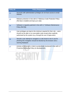| <b>Policy ID</b> | <b>Policy Requirement</b>                                                                                                                                                                                      |
|------------------|----------------------------------------------------------------------------------------------------------------------------------------------------------------------------------------------------------------|
| 22               | Accounts with administration privileges do not have access to email<br>inboxes.                                                                                                                                |
| 23               | Malware protection in line with IL7 Malicious Code Protection Policy<br>(Ref [4]) is installed and kept up to date.                                                                                            |
| 24               | Software is regularly patched in line with IL7 Software Maintenance<br>Policy (Ref [5]).                                                                                                                       |
| 25               | User privileges are kept to the minimum required for their role $-$ users<br>should not be able to run executable code except when explicitly<br>authorised by the system (e.g. through the use of AppLocker). |
| 26               | Should a user attempt to navigate to a site known to be in use for<br>phishing this navigation should be blocked by the browser and a<br>warning displayed.                                                    |
| 27               | Activity on the server or client is protectively monitored in line with IL7<br>Protective Monitoring Policy (in development).                                                                                  |
|                  |                                                                                                                                                                                                                |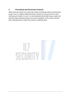#### <span id="page-8-0"></span>**4 Procedural and Personnel Controls**

While technical controls can reduce the number of phishing emails encountered by system users it is highly unlikely that these controls can remove all risk of users receiving such emails. As such, it is recommended that all staff using a system are trained to detect phishing emails in line with the guidance in this section and that they understand how to report the receipt of a phishing email.

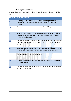# <span id="page-9-0"></span>**5 Training Requirements**

All users of a system must receive training (in line with NCSC guidance (Ref [1])) that:

| <b>Policy ID</b> | <b>Policy Requirement</b>                                                                                                                                                             |
|------------------|---------------------------------------------------------------------------------------------------------------------------------------------------------------------------------------|
| 28               | Encourages users to seek help on receipt of a suspected phishing<br>message or if they suspect they may have fallen for a phishing<br>message.                                        |
| 29               | Educates users on how to report a suspected phishing message.                                                                                                                         |
| 30               | Reminds users that they will not be punished for reporting a phishing<br>message or for not recognising a phishing message prior to clicking on<br>a link/entering their details etc. |
| 31               | Teaches users to look out for 'urgency' or 'authority' cues that pressure<br>the user to act (as discussed in CPNI's 'Don't take the bait' campaign<br>(Ref [6]).                     |
| 32               | Ensures that users are familiar with processes that might involve email<br>communication to empower them to recognise unusual requests.                                               |
| 33               | Trains users using real-world examples.                                                                                                                                               |
| 34               | Includes, where appropriate, a phishing exercise/workshop for users<br>on the live system.                                                                                            |
| 35               | Teaches users to understand the impact of information shared on their<br>own social media pages.                                                                                      |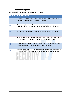# <span id="page-10-0"></span>**6 Incident Response**

Where a suspicious message is received users should:

| <b>Policy ID</b> | <b>Policy Requirement</b>                                                                                                                     |
|------------------|-----------------------------------------------------------------------------------------------------------------------------------------------|
| 36               | Be given a simple means to report that message to the CSOC team<br>(preferably via a single link on their homepage).                          |
| 37               | Have access to a secondary means of communicating a suspicious<br>message in case their system is compromised (e.g. via telephone).           |
| 38               | Be kept informed of action being taken in response to their report                                                                            |
| 39               | Not be punished for reporting when they believe they may have fallen<br>for a phishing message but encouraged to seek further advice.         |
| 40               | Be encouraged to seek further guidance where they have fallen for a<br>phishing message to help reduce this risk in the future.               |
| 41               | Where relevant, have new login information generated for them and be<br>advised to follow the password reset process for the system affected. |
|                  |                                                                                                                                               |